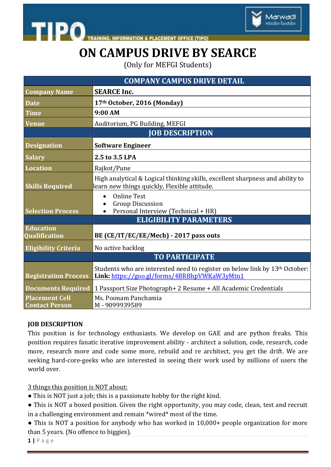



**INFORMATION & PLACEMENT OFFICE [TIPO]** 

## **ON CAMPUS DRIVE BY SEARCE**

(Only for MEFGI Students)

|                                                | <b>COMPANY CAMPUS DRIVE DETAIL</b>                                                                                                      |
|------------------------------------------------|-----------------------------------------------------------------------------------------------------------------------------------------|
| <b>Company Name</b>                            | <b>SEARCE Inc.</b>                                                                                                                      |
| <b>Date</b>                                    | 17th October, 2016 (Monday)                                                                                                             |
| <b>Time</b>                                    | 9:00 AM                                                                                                                                 |
| <b>Venue</b>                                   | Auditorium, PG Building, MEFGI                                                                                                          |
|                                                | <b>JOB DESCRIPTION</b>                                                                                                                  |
| <b>Designation</b>                             | <b>Software Engineer</b>                                                                                                                |
| <b>Salary</b>                                  | 2.5 to 3.5 LPA                                                                                                                          |
| <b>Location</b>                                | Rajkot/Pune                                                                                                                             |
| <b>Skills Required</b>                         | High analytical & Logical thinking skills, excellent sharpness and ability to<br>learn new things quickly, Flexible attitude.           |
| <b>Selection Process</b>                       | <b>Online Test</b><br>$\bullet$<br><b>Group Discussion</b><br>Personal Interview (Technical + HR)<br>$\bullet$                          |
|                                                | <b>ELIGIBILITY PARAMETERS</b>                                                                                                           |
| <b>Education</b><br><b>Qualification</b>       | BE (CE/IT/EC/EE/Mech) - 2017 pass outs                                                                                                  |
| <b>Eligibility Criteria</b>                    | No active backlog                                                                                                                       |
|                                                | <b>TO PARTICIPATE</b>                                                                                                                   |
| <b>Registration Process</b>                    | Students who are interested need to register on below link by 13 <sup>th</sup> October:<br>Link: https://goo.gl/forms/4BRBhpVWKaW3yMtn1 |
| <b>Documents Required</b>                      | 1 Passport Size Photograph+ 2 Resume + All Academic Credentials                                                                         |
| <b>Placement Cell</b><br><b>Contact Person</b> | Ms. Poonam Panchamia<br>M-9099939589                                                                                                    |

#### **JOB DESCRIPTION**

This position is for technology enthusiasts. We develop on GAE and are python freaks. This position requires fanatic iterative improvement ability - architect a solution, code, research, code more, research more and code some more, rebuild and re architect, you get the drift. We are seeking hard-core-geeks who are interested in seeing their work used by millions of users the world over.

3 things this position is NOT about:

- This is NOT just a job; this is a passionate hobby for the right kind.
- This is NOT a boxed position. Given the right opportunity, you may code, clean, test and recruit in a challenging environment and remain \*wired\* most of the time.
- This is NOT a position for anybody who has worked in 10,000+ people organization for more than 5 years. (No offence to biggies).

**1 |** P a g e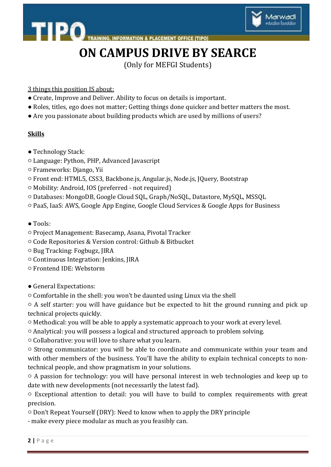

**INFORMATION & PLACEMENT OFFICE [TIPO]** 

### **ON CAMPUS DRIVE BY SEARCE**

(Only for MEFGI Students)

- 3 things this position IS about:
- Create, Improve and Deliver. Ability to focus on details is important.
- Roles, titles, ego does not matter; Getting things done quicker and better matters the most.
- Are you passionate about building products which are used by millions of users?

#### **Skills**

● Technology Stack:

TIPO.

- Language: Python, PHP, Advanced Javascript
- Frameworks: Django, Yii
- Front end: HTML5, CSS3, Backbone.js, Angular.js, Node.js, JQuery, Bootstrap
- Mobility: Android, IOS (preferred not required)
- Databases: MongoDB, Google Cloud SQL, Graph/NoSQL, Datastore, MySQL, MSSQL
- PaaS, IaaS: AWS, Google App Engine, Google Cloud Services & Google Apps for Business
- Tools:
- Project Management: Basecamp, Asana, Pivotal Tracker
- Code Repositories & Version control: Github & Bitbucket
- Bug Tracking: Fogbugz, JIRA
- Continuous Integration: Jenkins, JIRA
- Frontend IDE: Webstorm
- General Expectations:
- Comfortable in the shell: you won't be daunted using Linux via the shell

○ A self starter: you will have guidance but be expected to hit the ground running and pick up technical projects quickly.

- Methodical: you will be able to apply a systematic approach to your work at every level.
- Analytical: you will possess a logical and structured approach to problem solving.
- Collaborative: you will love to share what you learn.
- Strong communicator: you will be able to coordinate and communicate within your team and with other members of the business. You'll have the ability to explain technical concepts to nontechnical people, and show pragmatism in your solutions.
- A passion for technology: you will have personal interest in web technologies and keep up to date with new developments (not necessarily the latest fad).

○ Exceptional attention to detail: you will have to build to complex requirements with great precision.

- Don't Repeat Yourself (DRY): Need to know when to apply the DRY principle
- make every piece modular as much as you feasibly can.